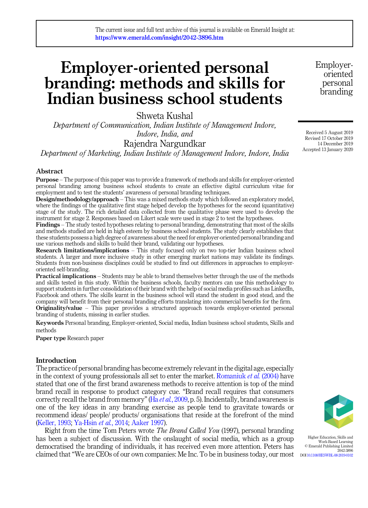# Employer-oriented personal branding: methods and skills for Indian business school students

Shweta Kushal

*Department of Communication, Indian Institute of Management Indore, Indore, India, and*

Rajendra Nargundkar

*Department of Marketing, Indian Institute of Management Indore, Indore, India*

## Abstract

Purpose – The purpose of this paper was to provide a framework of methods and skills for employer-oriented personal branding among business school students to create an effective digital curriculum vitae for employment and to test the students' awareness of personal branding techniques.

Design/methodology/approach – This was a mixed methods study which followed an exploratory model, where the findings of the qualitative first stage helped develop the hypotheses for the second (quantitative) stage of the study. The rich detailed data collected from the qualitative phase were used to develop the instrument for stage 2. Responses based on Likert scale were used in stage 2 to test the hypotheses.

Findings – The study tested hypotheses relating to personal branding, demonstrating that most of the skills and methods studied are held in high esteem by business school students. The study clearly establishes that these students possess a high degree of awareness about the need for employer-oriented personal branding and use various methods and skills to build their brand, validating our hypotheses.

Research limitations/implications – This study focused only on two top-tier Indian business school students. A larger and more inclusive study in other emerging market nations may validate its findings. Students from non-business disciplines could be studied to find out differences in approaches to employeroriented self-branding.

Practical implications – Students may be able to brand themselves better through the use of the methods and skills tested in this study. Within the business schools, faculty mentors can use this methodology to support students in further consolidation of their brand with the help of social media profiles such as LinkedIn, Facebook and others. The skills learnt in the business school will stand the student in good stead, and the company will benefit from their personal branding efforts translating into commercial benefits for the firm.

Originality/value – This paper provides a structured approach towards employer-oriented personal branding of students, missing in earlier studies.

Keywords Personal branding, Employer-oriented, Social media, Indian business school students, Skills and methods

Paper type Research paper

## Introduction

The practice of personal branding has become extremely relevant in the digital age, especially in the context of young professionals all set to enter the market. Romaniuk *et al.* (2004) have stated that one of the first brand awareness methods to receive attention is top of the mind brand recall in response to product category cue. "Brand recall requires that consumers correctly recall the brand from memory"(Ha *et al.*, 2009, p. 5). Incidentally, brand awareness is one of the key ideas in any branding exercise as people tend to gravitate towards or recommend ideas/ people/ products/ organisations that reside at the forefront of the mind (Keller, 1993; Ya-Hsin *et al.*, 2014; Aaker 1997).

Right from the time Tom Peters wrote *The Brand Called You* (1997), personal branding has been a subject of discussion. With the onslaught of social media, which as a group democratised the branding of individuals, it has received even more attention. Peters has claimed that "We are CEOs of our own companies: Me Inc. To be in business today, our most



Higher Education, Skills and Work-Based Learning © Emerald Publishing Limited 2042-3896 DOI 10.1108/HESWBL-08-2019-0102

Received 5 August 2019 Revised 17 October 2019 14 December 2019 Accepted 13 January 2020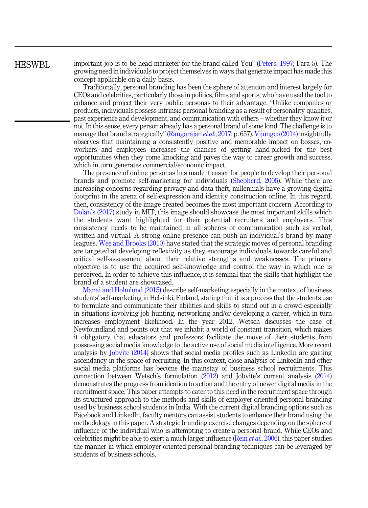# HESWBL.

important job is to be head marketer for the brand called You" (Peters, 1997; Para 5). The growing need in individuals to project themselves in ways that generate impact has made this concept applicable on a daily basis.

Traditionally, personal branding has been the sphere of attention and interest largely for CEOs and celebrities, particularly those in politics, films and sports, who have used the tool to enhance and project their very public personas to their advantage. "Unlike companies or products, individuals possess intrinsic personal branding as a result of personality qualities, past experience and development, and communication with others – whether they know it or not. In this sense, every person already has a personal brand of some kind. The challenge is to manage that brand strategically"(Rangarajan *et al.*, 2017, p. 657). Vijungco (2014) insightfully observes that maintaining a consistently positive and memorable impact on bosses, coworkers and employees increases the chances of getting hand-picked for the best opportunities when they come knocking and paves the way to career growth and success, which in turn generates commercial/economic impact.

The presence of online personas has made it easier for people to develop their personal brands and promote self-marketing for individuals (Shepherd, 2005). While there are increasing concerns regarding privacy and data theft, millennials have a growing digital footprint in the arena of self-expression and identity construction online. In this regard, then, consistency of the image created becomes the most important concern. According to Dolan's (2017) study in MIT, this image should showcase the most important skills which the students want highlighted for their potential recruiters and employers. This consistency needs to be maintained in all spheres of communication such as verbal, written and virtual. A strong online presence can push an individual's brand by many leagues. Wee and Brooks (2010) have stated that the strategic moves of personal branding are targeted at developing reflexivity as they encourage individuals towards careful and critical self-assessment about their relative strengths and weaknesses. The primary objective is to use the acquired self-knowledge and control the way in which one is perceived. In order to achieve this influence, it is seminal that the skills that highlight the brand of a student are showcased.

Manai and Holmlund (2015) describe self-marketing especially in the context of business students' self-marketing in Helsinki, Finland, stating that it is a process that the students use to formulate and communicate their abilities and skills to stand out in a crowd especially in situations involving job hunting, networking and/or developing a career, which in turn increases employment likelihood. In the year 2012, Wetsch discusses the case of Newfoundland and points out that we inhabit a world of constant transition, which makes it obligatory that educators and professors facilitate the move of their students from possessing social media knowledge to the active use of social media intelligence. More recent analysis by Jobvite (2014) shows that social media profiles such as LinkedIn are gaining ascendancy in the space of recruiting. In this context, close analysis of LinkedIn and other social media platforms has become the mainstay of business school recruitments. This connection between Wetsch's formulation (2012) and Jobvite's current analysis (2014) demonstrates the progress from ideation to action and the entry of newer digital media in the recruitment space. This paper attempts to cater to this need in the recruitment space through its structured approach to the methods and skills of employer-oriented personal branding used by business school students in India. With the current digital branding options such as Facebook and LinkedIn, faculty mentors can assist students to enhance their brand using the methodology in this paper. A strategic branding exercise changes depending on the sphere of influence of the individual who is attempting to create a personal brand. While CEOs and celebrities might be able to exert a much larger influence (Rein *et al.*, 2006), this paper studies the manner in which employer-oriented personal branding techniques can be leveraged by students of business schools.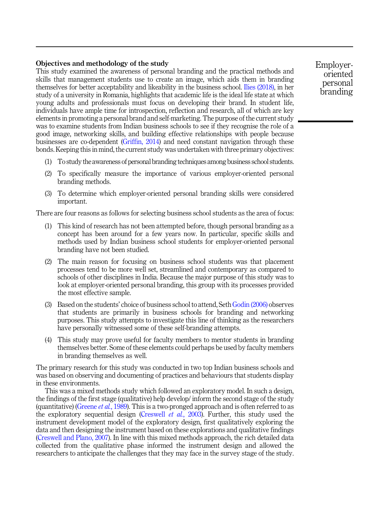# Objectives and methodology of the study

This study examined the awareness of personal branding and the practical methods and skills that management students use to create an image, which aids them in branding themselves for better acceptability and likeability in the business school. Ilies (2018), in her study of a university in Romania, highlights that academic life is the ideal life state at which young adults and professionals must focus on developing their brand. In student life, individuals have ample time for introspection, reflection and research, all of which are key elements in promoting a personal brand and self-marketing. The purpose of the current study was to examine students from Indian business schools to see if they recognise the role of a good image, networking skills, and building effective relationships with people because businesses are co-dependent (Griffin, 2014) and need constant navigation through these bonds. Keeping this in mind, the current study was undertaken with three primary objectives:

- (1) To study the awareness of personal branding techniques among business school students.
- (2) To specifically measure the importance of various employer-oriented personal branding methods.
- (3) To determine which employer-oriented personal branding skills were considered important.

There are four reasons as follows for selecting business school students as the area of focus:

- (1) This kind of research has not been attempted before, though personal branding as a concept has been around for a few years now. In particular, specific skills and methods used by Indian business school students for employer-oriented personal branding have not been studied.
- (2) The main reason for focusing on business school students was that placement processes tend to be more well set, streamlined and contemporary as compared to schools of other disciplines in India. Because the major purpose of this study was to look at employer-oriented personal branding, this group with its processes provided the most effective sample.
- (3) Based on the students' choice of business school to attend, Seth Godin (2006) observes that students are primarily in business schools for branding and networking purposes. This study attempts to investigate this line of thinking as the researchers have personally witnessed some of these self-branding attempts.
- (4) This study may prove useful for faculty members to mentor students in branding themselves better. Some of these elements could perhaps be used by faculty members in branding themselves as well.

The primary research for this study was conducted in two top Indian business schools and was based on observing and documenting of practices and behaviours that students display in these environments.

This was a mixed methods study which followed an exploratory model. In such a design, the findings of the first stage (qualitative) help develop/ inform the second stage of the study (quantitative) (Greene *et al.*, 1989). This is a two-pronged approach and is often referred to as the exploratory sequential design (Creswell *et al.*, 2003). Further, this study used the instrument development model of the exploratory design, first qualitatively exploring the data and then designing the instrument based on these explorations and qualitative findings (Creswell and Plano, 2007). In line with this mixed methods approach, the rich detailed data collected from the qualitative phase informed the instrument design and allowed the researchers to anticipate the challenges that they may face in the survey stage of the study.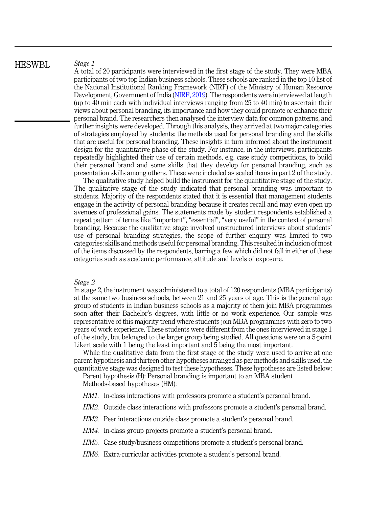HESWBL.

#### *Stage 1*

A total of 20 participants were interviewed in the first stage of the study. They were MBA participants of two top Indian business schools. These schools are ranked in the top 10 list of the National Institutional Ranking Framework (NIRF) of the Ministry of Human Resource Development, Government of India (NIRF, 2019). The respondents were interviewed at length (up to 40 min each with individual interviews ranging from 25 to 40 min) to ascertain their views about personal branding, its importance and how they could promote or enhance their personal brand. The researchers then analysed the interview data for common patterns, and further insights were developed. Through this analysis, they arrived at two major categories of strategies employed by students: the methods used for personal branding and the skills that are useful for personal branding. These insights in turn informed about the instrument design for the quantitative phase of the study. For instance, in the interviews, participants repeatedly highlighted their use of certain methods, e.g. case study competitions, to build their personal brand and some skills that they develop for personal branding, such as presentation skills among others. These were included as scaled items in part 2 of the study.

The qualitative study helped build the instrument for the quantitative stage of the study. The qualitative stage of the study indicated that personal branding was important to students. Majority of the respondents stated that it is essential that management students engage in the activity of personal branding because it creates recall and may even open up avenues of professional gains. The statements made by student respondents established a repeat pattern of terms like "important", "essential", "very useful" in the context of personal branding. Because the qualitative stage involved unstructured interviews about students' use of personal branding strategies, the scope of further enquiry was limited to two categories: skills and methods useful for personal branding. This resulted in inclusion of most of the items discussed by the respondents, barring a few which did not fall in either of these categories such as academic performance, attitude and levels of exposure.

#### *Stage 2*

In stage 2, the instrument was administered to a total of 120 respondents (MBA participants) at the same two business schools, between 21 and 25 years of age. This is the general age group of students in Indian business schools as a majority of them join MBA programmes soon after their Bachelor's degrees, with little or no work experience. Our sample was representative of this majority trend where students join MBA programmes with zero to two years of work experience. These students were different from the ones interviewed in stage 1 of the study, but belonged to the larger group being studied. All questions were on a 5-point Likert scale with 1 being the least important and 5 being the most important.

While the qualitative data from the first stage of the study were used to arrive at one parent hypothesis and thirteen other hypotheses arranged as per methods and skills used, the quantitative stage was designed to test these hypotheses. These hypotheses are listed below:

Parent hypothesis (H): Personal branding is important to an MBA student Methods-based hypotheses (HM):

- *HM1*. In-class interactions with professors promote a student's personal brand.
- *HM2.* Outside class interactions with professors promote a student's personal brand.
- *HM3.* Peer interactions outside class promote a student's personal brand.
- *HM4.* In-class group projects promote a student's personal brand.
- *HM5.* Case study/business competitions promote a student's personal brand.
- *HM6.* Extra-curricular activities promote a student's personal brand.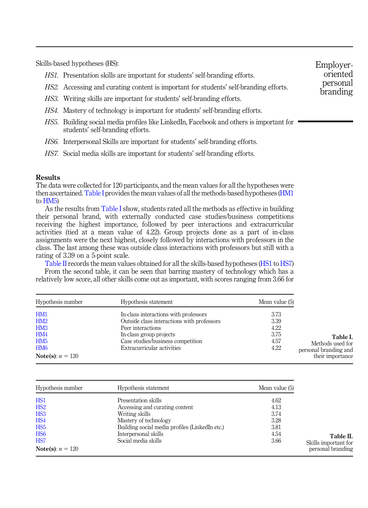Skills-based hypotheses (HS):

- *HS1.* Presentation skills are important for students' self-branding efforts.
- *HS2.* Accessing and curating content is important for students' self-branding efforts.
- *HS3.* Writing skills are important for students' self-branding efforts.
- *HS4.* Mastery of technology is important for students' self-branding efforts.
- *HS5.* Building social media profiles like LinkedIn, Facebook and others is important for students' self-branding efforts.
- *HS6.* Interpersonal Skills are important for students' self-branding efforts.
- *HS7.* Social media skills are important for students' self-branding efforts.

## Results

The data were collected for 120 participants, and the mean values for all the hypotheses were then ascertained. Table I provides the mean values of all the methods-based hypotheses (HM1 to HM5)

As the results from Table I show, students rated all the methods as effective in building their personal brand, with externally conducted case studies/business competitions receiving the highest importance, followed by peer interactions and extracurricular activities (tied at a mean value of 4.22). Group projects done as a part of in-class assignments were the next highest, closely followed by interactions with professors in the class. The last among these was outside class interactions with professors but still with a rating of 3.39 on a 5-point scale.

Table II records the mean values obtained for all the skills-based hypotheses (HS1 to HS7) From the second table, it can be seen that barring mastery of technology which has a relatively low score, all other skills come out as important, with scores ranging from 3.66 for

| Hypothesis number          | Hypothesis statement                       | Mean value (5) |                       |
|----------------------------|--------------------------------------------|----------------|-----------------------|
| HM1                        | In-class interactions with professors      | 3.73           |                       |
| HM2                        | Outside class interactions with professors | 3.39           |                       |
| HM <sub>3</sub>            | Peer interactions                          | 4.22           |                       |
| HM4                        | In-class group projects                    | 3.75           | Table I.              |
| HM <sub>5</sub>            | Case studies/business competition          | 4.57           | Methods used for      |
| HM <sub>6</sub>            | Extracurricular activities                 | 4.22           | personal branding and |
| <b>Note(s)</b> : $n = 120$ |                                            |                | their importance      |

| Hypothesis number          | Hypothesis statement                           | Mean value (5) |
|----------------------------|------------------------------------------------|----------------|
| HS <sub>1</sub>            | Presentation skills                            | 4.62           |
| HS <sub>2</sub>            | Accessing and curating content                 | 4.13           |
| HS <sub>3</sub>            | Writing skills                                 | 3.74           |
| HS <sub>4</sub>            | Mastery of technology                          | 3.28           |
| HS <sub>5</sub>            | Building social media profiles (LinkedIn etc.) | 3.81           |
| HS <sub>6</sub>            | Interpersonal skills                           | 4.54           |
| HS <sub>7</sub>            | Social media skills                            | 3.66           |
| <b>Note(s)</b> : $n = 120$ |                                                |                |

Employeroriented personal branding

Table II. Skills important for personal branding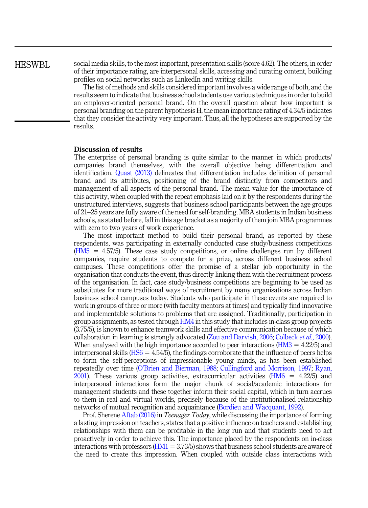# HESWBL

social media skills, to the most important, presentation skills (score 4.62). The others, in order of their importance rating, are interpersonal skills, accessing and curating content, building profiles on social networks such as LinkedIn and writing skills.

The list of methods and skills considered important involves a wide range of both, and the results seem to indicate that business school students use various techniques in order to build an employer-oriented personal brand. On the overall question about how important is personal branding on the parent hypothesis H, the mean importance rating of 4.34/5 indicates that they consider the activity very important. Thus, all the hypotheses are supported by the results.

# Discussion of results

The enterprise of personal branding is quite similar to the manner in which products/ companies brand themselves, with the overall objective being differentiation and identification. Quast (2013) delineates that differentiation includes definition of personal brand and its attributes, positioning of the brand distinctly from competitors and management of all aspects of the personal brand. The mean value for the importance of this activity, when coupled with the repeat emphasis laid on it by the respondents during the unstructured interviews, suggests that business school participants between the age groups of 21–25 years are fully aware of the need for self-branding. MBA students in Indian business schools, as stated before, fall in this age bracket as a majority of them join MBA programmes with zero to two years of work experience.

The most important method to build their personal brand, as reported by these respondents, was participating in externally conducted case study/business competitions  $(HM5 = 4.57/5)$ . These case study competitions, or online challenges run by different companies, require students to compete for a prize, across different business school campuses. These competitions offer the promise of a stellar job opportunity in the organisation that conducts the event, thus directly linking them with the recruitment process of the organisation. In fact, case study/business competitions are beginning to be used as substitutes for more traditional ways of recruitment by many organisations across Indian business school campuses today. Students who participate in these events are required to work in groups of three or more (with faculty mentors at times) and typically find innovative and implementable solutions to problems that are assigned. Traditionally, participation in group assignments, as tested through HM4 in this study that includes in-class group projects (3.75/5), is known to enhance teamwork skills and effective communication because of which collaboration in learning is strongly advocated (Zou and Darvish, 2006; Colbeck *et al.*, 2000). When analysed with the high importance accorded to peer interactions  $(HM3 = 4.22/5)$  and interpersonal skills  $(HS6 = 4.54/5)$ , the findings corroborate that the influence of peers helps to form the self-perceptions of impressionable young minds, as has been established repeatedly over time (O'Brien and Bierman, 1988; Cullingford and Morrison, 1997; Ryan, 2001). These various group activities, extracurricular activities ( $HM6 = 4.22/5$ ) and interpersonal interactions form the major chunk of social/academic interactions for management students and these together inform their social capital, which in turn accrues to them in real and virtual worlds, precisely because of the institutionalised relationship networks of mutual recognition and acquaintance (Bordieu and Wacquant, 1992).

Prof. Sherene Aftab (2016) in*Teenager Today*, while discussing the importance of forming a lasting impression on teachers, states that a positive influence on teachers and establishing relationships with them can be profitable in the long run and that students need to act proactively in order to achieve this. The importance placed by the respondents on in-class interactions with professors  $(HM1 = 3.73/5)$  shows that business school students are aware of the need to create this impression. When coupled with outside class interactions with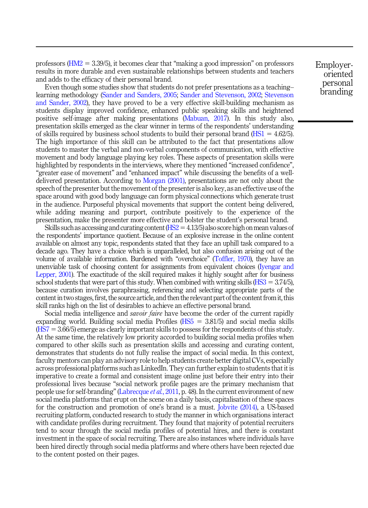professors  $(HM2 = 3.39/5)$ , it becomes clear that "making a good impression" on professors results in more durable and even sustainable relationships between students and teachers and adds to the efficacy of their personal brand.

Even though some studies show that students do not prefer presentations as a teaching– learning methodology (Sander and Sanders, 2005; Sander and Stevenson, 2002; Stevenson and Sander, 2002), they have proved to be a very effective skill-building mechanism as students display improved confidence, enhanced public speaking skills and heightened positive self-image after making presentations (Mabuan, 2017). In this study also, presentation skills emerged as the clear winner in terms of the respondents' understanding of skills required by business school students to build their personal brand ( $HSI = 4.62/5$ ). The high importance of this skill can be attributed to the fact that presentations allow students to master the verbal and non-verbal components of communication, with effective movement and body language playing key roles. These aspects of presentation skills were highlighted by respondents in the interviews, where they mentioned "increased confidence", "greater ease of movement" and "enhanced impact" while discussing the benefits of a welldelivered presentation. According to Morgan (2001), presentations are not only about the speech of the presenter but the movement of the presenter is also key, as an effective use of the space around with good body language can form physical connections which generate trust in the audience. Purposeful physical movements that support the content being delivered, while adding meaning and purport, contribute positively to the experience of the presentation, make the presenter more effective and bolster the student's personal brand.

Skills such as accessing and curating content ( $HS2 = 4.13/5$ ) also score high on mean values of the respondents' importance quotient. Because of an explosive increase in the online content available on almost any topic, respondents stated that they face an uphill task compared to a decade ago. They have a choice which is unparalleled, but also confusion arising out of the volume of available information. Burdened with "overchoice" (Toffler, 1970), they have an unenviable task of choosing content for assignments from equivalent choices (Iyengar and Lepper, 2001). The exactitude of the skill required makes it highly sought after for business school students that were part of this study. When combined with writing skills ( $\text{HS}3 = 3.74/5$ ), because curation involves paraphrasing, referencing and selecting appropriate parts of the content in two stages, first, the source article, and then the relevant part of the content from it, this skill ranks high on the list of desirables to achieve an effective personal brand.

Social media intelligence and *savoir faire* have become the order of the current rapidly expanding world. Building social media Profiles  $(HS5 = 3.81/5)$  and social media skills  $(HS7 = 3.66/5)$  emerge as clearly important skills to possess for the respondents of this study. At the same time, the relatively low priority accorded to building social media profiles when compared to other skills such as presentation skills and accessing and curating content, demonstrates that students do not fully realise the impact of social media. In this context, faculty mentors can play an advisory role to help students create better digital CVs, especially across professional platforms such as LinkedIn. They can further explain to students that it is imperative to create a formal and consistent image online just before their entry into their professional lives because "social network profile pages are the primary mechanism that people use for self-branding" (Labrecque *et al.*, 2011, p. 48). In the current environment of new social media platforms that erupt on the scene on a daily basis, capitalisation of these spaces for the construction and promotion of one's brand is a must. Jobvite (2014), a US-based recruiting platform, conducted research to study the manner in which organisations interact with candidate profiles during recruitment. They found that majority of potential recruiters tend to scour through the social media profiles of potential hires, and there is constant investment in the space of social recruiting. There are also instances where individuals have been hired directly through social media platforms and where others have been rejected due to the content posted on their pages.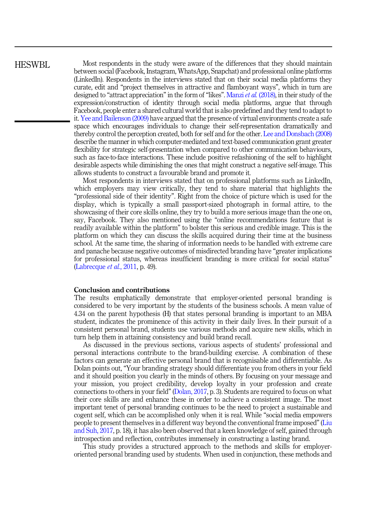# HESWBL.

Most respondents in the study were aware of the differences that they should maintain between social (Facebook, Instagram, WhatsApp, Snapchat) and professional online platforms (LinkedIn). Respondents in the interviews stated that on their social media platforms they curate, edit and "project themselves in attractive and flamboyant ways", which in turn are designed to "attract appreciation" in the form of "likes". Manzi *et al.* (2018), in their study of the expression/construction of identity through social media platforms, argue that through Facebook, people enter a shared cultural world that is also predefined and they tend to adapt to it. Yee and Bailenson (2009) have argued that the presence of virtual environments create a safe space which encourages individuals to change their self-representation dramatically and thereby control the perception created, both for self and for the other. Lee and Donsbach (2008) describe the manner in which computer-mediated and text-based communication grant greater flexibility for strategic self-presentation when compared to other communication behaviours, such as face-to-face interactions. These include positive refashioning of the self to highlight desirable aspects while diminishing the ones that might construct a negative self-image. This allows students to construct a favourable brand and promote it.

Most respondents in interviews stated that on professional platforms such as LinkedIn, which employers may view critically, they tend to share material that highlights the "professional side of their identity". Right from the choice of picture which is used for the display, which is typically a small passport-sized photograph in formal attire, to the showcasing of their core skills online, they try to build a more serious image than the one on, say, Facebook. They also mentioned using the "online recommendations feature that is readily available within the platform" to bolster this serious and credible image. This is the platform on which they can discuss the skills acquired during their time at the business school. At the same time, the sharing of information needs to be handled with extreme care and panache because negative outcomes of misdirected branding have "greater implications for professional status, whereas insufficient branding is more critical for social status" (Labrecque *et al.*, 2011, p. 49).

## Conclusion and contributions

The results emphatically demonstrate that employer-oriented personal branding is considered to be very important by the students of the business schools. A mean value of 4.34 on the parent hypothesis (H) that states personal branding is important to an MBA student, indicates the prominence of this activity in their daily lives. In their pursuit of a consistent personal brand, students use various methods and acquire new skills, which in turn help them in attaining consistency and build brand recall.

As discussed in the previous sections, various aspects of students' professional and personal interactions contribute to the brand-building exercise. A combination of these factors can generate an effective personal brand that is recognisable and differentiable. As Dolan points out, "Your branding strategy should differentiate you from others in your field and it should position you clearly in the minds of others. By focusing on your message and your mission, you project credibility, develop loyalty in your profession and create connections to others in your field" (Dolan, 2017, p. 3). Students are required to focus on what their core skills are and enhance these in order to achieve a consistent image. The most important tenet of personal branding continues to be the need to project a sustainable and cogent self, which can be accomplished only when it is real. While "social media empowers people to present themselves in a different way beyond the conventional frame imposed"(Liu and Suh, 2017, p. 18), it has also been observed that a keen knowledge of self, gained through introspection and reflection, contributes immensely in constructing a lasting brand.

This study provides a structured approach to the methods and skills for employeroriented personal branding used by students. When used in conjunction, these methods and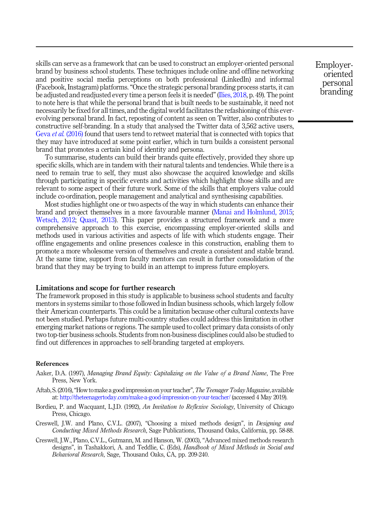skills can serve as a framework that can be used to construct an employer-oriented personal brand by business school students. These techniques include online and offline networking and positive social media perceptions on both professional (LinkedIn) and informal (Facebook, Instagram) platforms. "Once the strategic personal branding process starts, it can be adjusted and readjusted every time a person feels it is needed" (Ilies, 2018, p. 49). The point to note here is that while the personal brand that is built needs to be sustainable, it need not necessarily be fixed for all times, and the digital world facilitates the refashioning of this everevolving personal brand. In fact, reposting of content as seen on Twitter, also contributes to constructive self-branding. In a study that analysed the Twitter data of 3,562 active users, Geva *et al.* (2016) found that users tend to retweet material that is connected with topics that they may have introduced at some point earlier, which in turn builds a consistent personal brand that promotes a certain kind of identity and persona.

To summarise, students can build their brands quite effectively, provided they shore up specific skills, which are in tandem with their natural talents and tendencies. While there is a need to remain true to self, they must also showcase the acquired knowledge and skills through participating in specific events and activities which highlight those skills and are relevant to some aspect of their future work. Some of the skills that employers value could include co-ordination, people management and analytical and synthesising capabilities.

Most studies highlight one or two aspects of the way in which students can enhance their brand and project themselves in a more favourable manner (Manai and Holmlund, 2015; Wetsch, 2012; Quast, 2013). This paper provides a structured framework and a more comprehensive approach to this exercise, encompassing employer-oriented skills and methods used in various activities and aspects of life with which students engage. Their offline engagements and online presences coalesce in this construction, enabling them to promote a more wholesome version of themselves and create a consistent and stable brand. At the same time, support from faculty mentors can result in further consolidation of the brand that they may be trying to build in an attempt to impress future employers.

## Limitations and scope for further research

The framework proposed in this study is applicable to business school students and faculty mentors in systems similar to those followed in Indian business schools, which largely follow their American counterparts. This could be a limitation because other cultural contexts have not been studied. Perhaps future multi-country studies could address this limitation in other emerging market nations or regions. The sample used to collect primary data consists of only two top-tier business schools. Students from non-business disciplines could also be studied to find out differences in approaches to self-branding targeted at employers.

#### References

- Aaker, D.A. (1997), *Managing Brand Equity: Capitalizing on the Value of a Brand Name*, The Free Press, New York.
- Aftab, S. (2016),"How tomake a good impression on your teacher",*The Teenager TodayMagazine*, available at: http://theteenagertoday.com/make-a-good-impression-on-your-teacher/ (accessed 4 May 2019).
- Bordieu, P. and Wacquant, L.J.D. (1992), *An Invitation to Reflexive Sociology*, University of Chicago Press, Chicago.
- Creswell, J.W. and Plano, C.V.L. (2007), "Choosing a mixed methods design", in *Designing and Conducting Mixed Methods Research*, Sage Publications, Thousand Oaks, California, pp. 58-88.
- Creswell, J.W., Plano, C.V.L., Gutmann, M. and Hanson, W. (2003), "Advanced mixed methods research designs", in Tashakkori, A. and Teddlie, C. (Eds), *Handbook of Mixed Methods in Social and Behavioral Research*, Sage, Thousand Oaks, CA, pp. 209-240.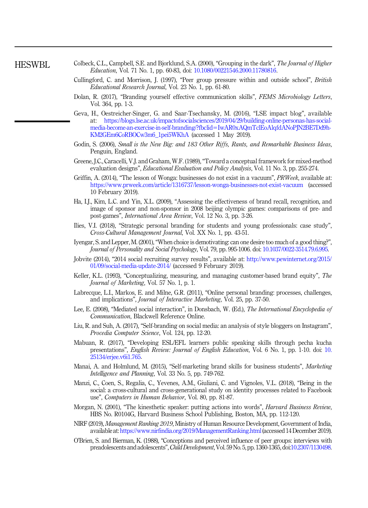HESWBL

- Colbeck, C.L., Campbell, S.E. and Bjorklund, S.A. (2000), "Grouping in the dark", *The Journal of Higher Education*, Vol. 71 No. 1, pp. 60-83, doi: 10.1080/00221546.2000.11780816.
- Cullingford, C. and Morrison, J. (1997), "Peer group pressure within and outside school", *British Educational Research Journal*, Vol. 23 No. 1, pp. 61-80.
- Dolan, R. (2017), "Branding yourself effective communication skills", *FEMS Microbiology Letters*, Vol. 364, pp. 1-3.
- Geva, H., Oestreicher-Singer, G. and Saar-Tsechansky, M. (2016), "LSE impact blog", available at: https://blogs.lse.ac.uk/impactofsocialsciences/2019/04/29/building-online-personas-has-socialmedia-become-an-exercise-in-self-branding/?fbclid=IwAR0xAQmTclEoAlqfdANoPJN2BE7Dd9h-KM2GEm6CoRBOCw3m6\_1pei5WKhA (accessed 1 May 2019).
- Godin, S. (2006), *Small is the New Big: and 183 Other Riffs, Rants, and Remarkable Business Ideas*, Penguin, England.
- Greene, J.C., Caracelli, V.J. and Graham, W.F. (1989),"Toward a conceptual framework for mixed-method evaluation designs", *Educational Evaluation and Policy Analysis*, Vol. 11 No. 3, pp. 255-274.
- Griffin, A. (2014), "The lesson of Wonga: businesses do not exist in a vacuum", *PRWeek*, available at: https://www.prweek.com/article/1316737/lesson-wonga-businesses-not-exist-vacuum (accessed 10 February 2019).
- Ha, I.J., Kim, L.C. and Yin, X.L. (2009), "Assessing the effectiveness of brand recall, recognition, and image of sponsor and non-sponsor in 2008 beijing olympic games: comparisons of pre- and post-games", *International Area Review*, Vol. 12 No. 3, pp. 3-26.
- Ilies, V.I. (2018), "Strategic personal branding for students and young professionals: case study", *Cross-Cultural Management Journal*, Vol. XX No. 1, pp. 43-51.
- Iyengar, S. and Lepper, M. (2001),"When choice is demotivating: can one desire too much of a good thing?", *Journal of Personality and Social Psychology*, Vol. 79, pp. 995-1006. doi: 10.1037/0022-3514.79.6.995.
- Jobvite (2014), "2014 social recruiting survey results", available at: http://www.pewinternet.org/2015/ 01/09/social-media-update-2014/ (accessed 9 February 2019).
- Keller, K.L. (1993), "Conceptualizing, measuring, and managing customer-based brand equity", *The Journal of Marketing*, Vol. 57 No. 1, p. 1.
- Labrecque, L.I., Markos, E. and Milne, G.R. (2011), "Online personal branding: processes, challenges, and implications", *Journal of Interactive Marketing*, Vol. 25, pp. 37-50.
- Lee, E. (2008), "Mediated social interaction", in Donsbach, W. (Ed.), *The International Encyclopedia of Communication*, Blackwell Reference Online.
- Liu, R. and Suh, A. (2017), "Self-branding on social media: an analysis of style bloggers on Instagram", *Procedia Computer Science*, Vol. 124, pp. 12-20.
- Mabuan, R. (2017), "Developing ESL/EFL learners public speaking skills through pecha kucha presentations", *English Review: Journal of English Education*, Vol. 6 No. 1, pp. 1-10. doi: 10. 25134/erjee.v6i1.765.
- Manai, A. and Holmlund, M. (2015), "Self-marketing brand skills for business students", *Marketing Intelligence and Planning*, Vol. 33 No. 5, pp. 749-762.
- Manzi, C., Coen, S., Regalia, C., Yevenes, A.M., Giuliani, C. and Vignoles, V.L. (2018), "Being in the social: a cross-cultural and cross-generational study on identity processes related to Facebook use", *Computers in Human Behavior*, Vol. 80, pp. 81-87.
- Morgan, N. (2001), "The kinesthetic speaker: putting actions into words", *Harvard Business Review*, HBS No. R0104G, Harvard Business School Publishing, Boston, MA, pp. 112-120.
- NIRF (2019), *Management Ranking 2019*, Ministry of Human Resource Development, Government of India, available at: https://www.nirfindia.org/2019/ManagementRanking.html (accessed 14 December 2019).
- O'Brien, S. and Bierman, K. (1988), "Conceptions and perceived influence of peer groups: interviews with preadolescents and adolescents",*Child Development*, Vol. 59 No. 5, pp. 1360-1365, doi:10.2307/1130498.